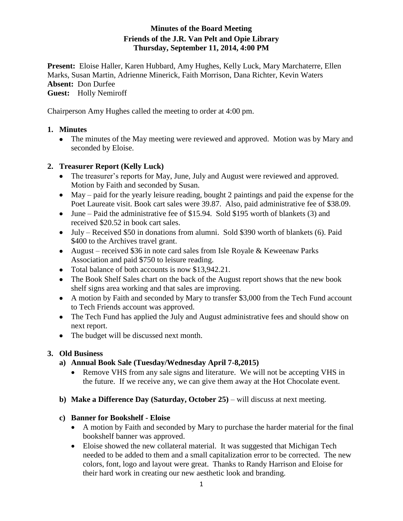# **Minutes of the Board Meeting Friends of the J.R. Van Pelt and Opie Library Thursday, September 11, 2014, 4:00 PM**

**Present:** Eloise Haller, Karen Hubbard, Amy Hughes, Kelly Luck, Mary Marchaterre, Ellen Marks, Susan Martin, Adrienne Minerick, Faith Morrison, Dana Richter, Kevin Waters **Absent:** Don Durfee

**Guest:** Holly Nemiroff

Chairperson Amy Hughes called the meeting to order at 4:00 pm.

### **1. Minutes**

• The minutes of the May meeting were reviewed and approved. Motion was by Mary and seconded by Eloise.

### **2. Treasurer Report (Kelly Luck)**

- The treasurer's reports for May, June, July and August were reviewed and approved. Motion by Faith and seconded by Susan.
- May paid for the yearly leisure reading, bought 2 paintings and paid the expense for the Poet Laureate visit. Book cart sales were 39.87. Also, paid administrative fee of \$38.09.
- June Paid the administrative fee of \$15.94. Sold \$195 worth of blankets (3) and received \$20.52 in book cart sales.
- July Received \$50 in donations from alumni. Sold \$390 worth of blankets (6). Paid \$400 to the Archives travel grant.
- August received \$36 in note card sales from Isle Royale & Keweenaw Parks Association and paid \$750 to leisure reading.
- Total balance of both accounts is now \$13,942.21.
- The Book Shelf Sales chart on the back of the August report shows that the new book shelf signs area working and that sales are improving.
- A motion by Faith and seconded by Mary to transfer \$3,000 from the Tech Fund account to Tech Friends account was approved.
- The Tech Fund has applied the July and August administrative fees and should show on next report.
- The budget will be discussed next month.

# **3. Old Business**

- **a) Annual Book Sale (Tuesday/Wednesday April 7-8,2015)** 
	- Remove VHS from any sale signs and literature. We will not be accepting VHS in the future. If we receive any, we can give them away at the Hot Chocolate event.
- **b) Make a Difference Day (Saturday, October 25)** will discuss at next meeting.

### **c) Banner for Bookshelf - Eloise**

- A motion by Faith and seconded by Mary to purchase the harder material for the final bookshelf banner was approved.
- Eloise showed the new collateral material. It was suggested that Michigan Tech needed to be added to them and a small capitalization error to be corrected. The new colors, font, logo and layout were great. Thanks to Randy Harrison and Eloise for their hard work in creating our new aesthetic look and branding.